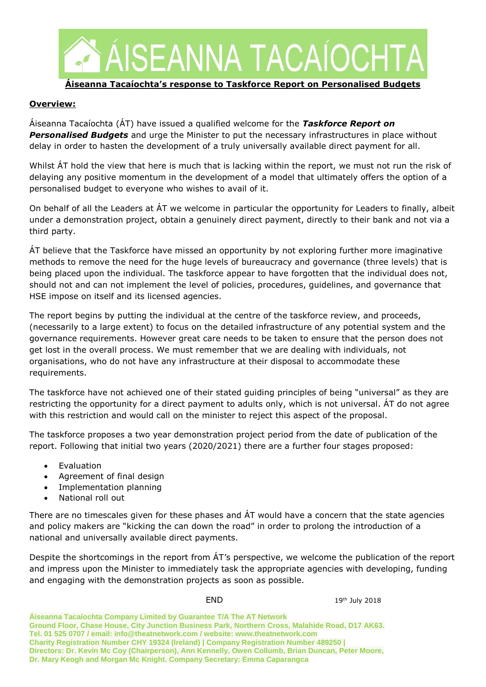

#### **Áiseanna Tacaíochta's response to Taskforce Report on Personalised Budgets**

#### **Overview:**

Áiseanna Tacaíochta (ÁT) have issued a qualified welcome for the *Taskforce Report on Personalised Budgets* and urge the Minister to put the necessary infrastructures in place without delay in order to hasten the development of a truly universally available direct payment for all.

Whilst ÁT hold the view that here is much that is lacking within the report, we must not run the risk of delaying any positive momentum in the development of a model that ultimately offers the option of a personalised budget to everyone who wishes to avail of it.

On behalf of all the Leaders at ÁT we welcome in particular the opportunity for Leaders to finally, albeit under a demonstration project, obtain a genuinely direct payment, directly to their bank and not via a third party.

ÁT believe that the Taskforce have missed an opportunity by not exploring further more imaginative methods to remove the need for the huge levels of bureaucracy and governance (three levels) that is being placed upon the individual. The taskforce appear to have forgotten that the individual does not, should not and can not implement the level of policies, procedures, guidelines, and governance that HSE impose on itself and its licensed agencies.

The report begins by putting the individual at the centre of the taskforce review, and proceeds, (necessarily to a large extent) to focus on the detailed infrastructure of any potential system and the governance requirements. However great care needs to be taken to ensure that the person does not get lost in the overall process. We must remember that we are dealing with individuals, not organisations, who do not have any infrastructure at their disposal to accommodate these requirements.

The taskforce have not achieved one of their stated guiding principles of being "universal" as they are restricting the opportunity for a direct payment to adults only, which is not universal. ÁT do not agree with this restriction and would call on the minister to reject this aspect of the proposal.

The taskforce proposes a two year demonstration project period from the date of publication of the report. Following that initial two years (2020/2021) there are a further four stages proposed:

- Evaluation
- Agreement of final design
- Implementation planning
- National roll out

There are no timescales given for these phases and ÁT would have a concern that the state agencies and policy makers are "kicking the can down the road" in order to prolong the introduction of a national and universally available direct payments.

Despite the shortcomings in the report from ÁT's perspective, we welcome the publication of the report and impress upon the Minister to immediately task the appropriate agencies with developing, funding and engaging with the demonstration projects as soon as possible.

END 19th July 2018

**Áiseanna Tacaíochta Company Limited by Guarantee T/A The AT Network Ground Floor, Chase House, City Junction Business Park, Northern Cross, Malahide Road, D17 AK63. Tel. 01 525 0707 / email: info@theatnetwork.com / website: www.theatnetwork.com Charity Registration Number CHY 19324 (Ireland) | Company Registration Number 489250 | Directors: Dr. Kevin Mc Coy (Chairperson), Ann Kennelly, Owen Collumb, Brian Duncan, Peter Moore, Dr. Mary Keogh and Morgan Mc Knight. Company Secretary: Emma Caparangca**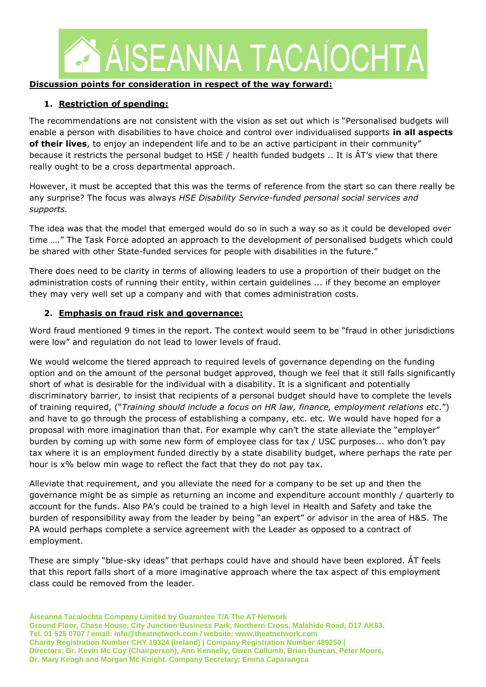

### **Discussion points for consideration in respect of the way forward:**

### **1. Restriction of spending:**

The recommendations are not consistent with the vision as set out which is "Personalised budgets will enable a person with disabilities to have choice and control over individualised supports **in all aspects of their lives**, to enjoy an independent life and to be an active participant in their community" because it restricts the personal budget to HSE / health funded budgets .. It is ÁT's view that there really ought to be a cross departmental approach.

However, it must be accepted that this was the terms of reference from the start so can there really be any surprise? The focus was always *HSE Disability Service-funded personal social services and supports.* 

The idea was that the model that emerged would do so in such a way so as it could be developed over time …." The Task Force adopted an approach to the development of personalised budgets which could be shared with other State-funded services for people with disabilities in the future."

There does need to be clarity in terms of allowing leaders to use a proportion of their budget on the administration costs of running their entity, within certain guidelines ... if they become an employer they may very well set up a company and with that comes administration costs.

### **2. Emphasis on fraud risk and governance:**

Word fraud mentioned 9 times in the report. The context would seem to be "fraud in other jurisdictions were low" and regulation do not lead to lower levels of fraud.

We would welcome the tiered approach to required levels of governance depending on the funding option and on the amount of the personal budget approved, though we feel that it still falls significantly short of what is desirable for the individual with a disability. It is a significant and potentially discriminatory barrier, to insist that recipients of a personal budget should have to complete the levels of training required, ("*Training should include a focus on HR law, finance, employment relations etc*.") and have to go through the process of establishing a company, etc. etc. We would have hoped for a proposal with more imagination than that. For example why can't the state alleviate the "employer" burden by coming up with some new form of employee class for tax / USC purposes... who don't pay tax where it is an employment funded directly by a state disability budget, where perhaps the rate per hour is x% below min wage to reflect the fact that they do not pay tax.

Alleviate that requirement, and you alleviate the need for a company to be set up and then the governance might be as simple as returning an income and expenditure account monthly / quarterly to account for the funds. Also PA's could be trained to a high level in Health and Safety and take the burden of responsibility away from the leader by being "an expert" or advisor in the area of H&S. The PA would perhaps complete a service agreement with the Leader as opposed to a contract of employment.

These are simply "blue-sky ideas" that perhaps could have and should have been explored. ÁT feels that this report falls short of a more imaginative approach where the tax aspect of this employment class could be removed from the leader.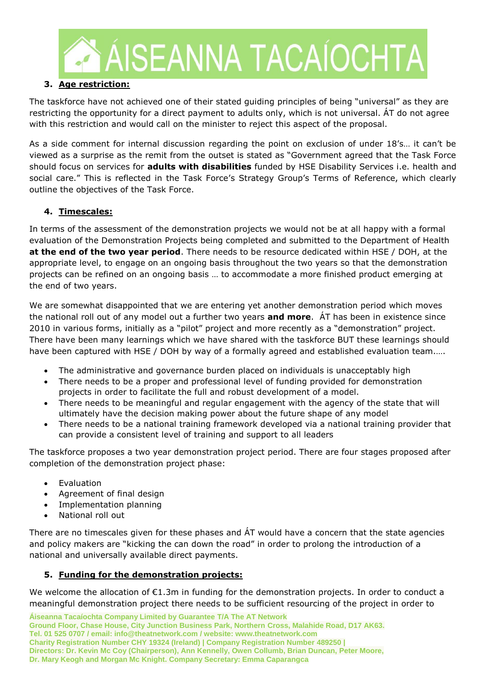

### **3. Age restriction:**

The taskforce have not achieved one of their stated guiding principles of being "universal" as they are restricting the opportunity for a direct payment to adults only, which is not universal. ÁT do not agree with this restriction and would call on the minister to reject this aspect of the proposal.

As a side comment for internal discussion regarding the point on exclusion of under 18's… it can't be viewed as a surprise as the remit from the outset is stated as "Government agreed that the Task Force should focus on services for **adults with disabilities** funded by HSE Disability Services i.e. health and social care." This is reflected in the Task Force's Strategy Group's Terms of Reference, which clearly outline the objectives of the Task Force.

### **4. Timescales:**

In terms of the assessment of the demonstration projects we would not be at all happy with a formal evaluation of the Demonstration Projects being completed and submitted to the Department of Health **at the end of the two year period**. There needs to be resource dedicated within HSE / DOH, at the appropriate level, to engage on an ongoing basis throughout the two years so that the demonstration projects can be refined on an ongoing basis … to accommodate a more finished product emerging at the end of two years.

We are somewhat disappointed that we are entering yet another demonstration period which moves the national roll out of any model out a further two years **and more**. ÁT has been in existence since 2010 in various forms, initially as a "pilot" project and more recently as a "demonstration" project. There have been many learnings which we have shared with the taskforce BUT these learnings should have been captured with HSE / DOH by way of a formally agreed and established evaluation team.....

- The administrative and governance burden placed on individuals is unacceptably high
- There needs to be a proper and professional level of funding provided for demonstration projects in order to facilitate the full and robust development of a model.
- There needs to be meaningful and regular engagement with the agency of the state that will ultimately have the decision making power about the future shape of any model
- There needs to be a national training framework developed via a national training provider that can provide a consistent level of training and support to all leaders

The taskforce proposes a two year demonstration project period. There are four stages proposed after completion of the demonstration project phase:

- Evaluation
- Agreement of final design
- Implementation planning
- National roll out

There are no timescales given for these phases and ÁT would have a concern that the state agencies and policy makers are "kicking the can down the road" in order to prolong the introduction of a national and universally available direct payments.

### **5. Funding for the demonstration projects:**

We welcome the allocation of  $\epsilon$ 1.3m in funding for the demonstration projects. In order to conduct a meaningful demonstration project there needs to be sufficient resourcing of the project in order to

**Áiseanna Tacaíochta Company Limited by Guarantee T/A The AT Network Ground Floor, Chase House, City Junction Business Park, Northern Cross, Malahide Road, D17 AK63. Tel. 01 525 0707 / email: info@theatnetwork.com / website: www.theatnetwork.com Charity Registration Number CHY 19324 (Ireland) | Company Registration Number 489250 | Directors: Dr. Kevin Mc Coy (Chairperson), Ann Kennelly, Owen Collumb, Brian Duncan, Peter Moore, Dr. Mary Keogh and Morgan Mc Knight. Company Secretary: Emma Caparangca**